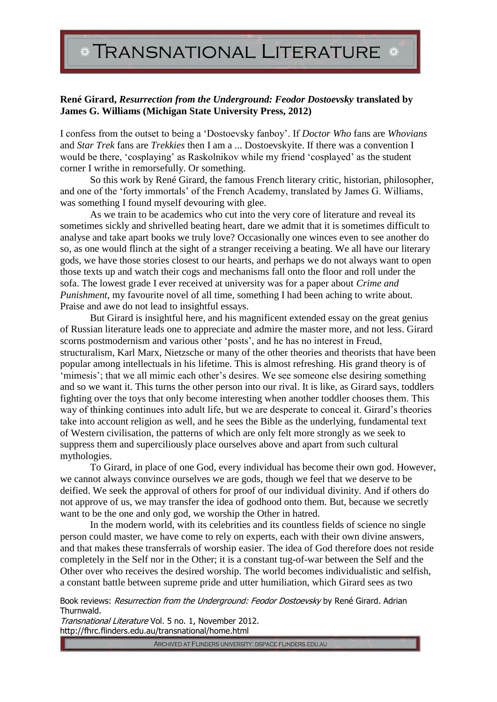## **TRANSNATIONAL LITERATURE**

## **René Girard,** *Resurrection from the Underground: Feodor Dostoevsky* **translated by James G. Williams (Michigan State University Press, 2012)**

I confess from the outset to being a 'Dostoevsky fanboy'. If *Doctor Who* fans are *Whovians* and *Star Trek* fans are *Trekkies* then I am a ... Dostoevskyite. If there was a convention I would be there, 'cosplaying' as Raskolnikov while my friend 'cosplayed' as the student corner I writhe in remorsefully. Or something.

So this work by René Girard, the famous French literary critic, historian, philosopher, and one of the 'forty immortals' of the French Academy, translated by James G. Williams, was something I found myself devouring with glee.

As we train to be academics who cut into the very core of literature and reveal its sometimes sickly and shrivelled beating heart, dare we admit that it is sometimes difficult to analyse and take apart books we truly love? Occasionally one winces even to see another do so, as one would flinch at the sight of a stranger receiving a beating. We all have our literary gods, we have those stories closest to our hearts, and perhaps we do not always want to open those texts up and watch their cogs and mechanisms fall onto the floor and roll under the sofa. The lowest grade I ever received at university was for a paper about *Crime and Punishment*, my favourite novel of all time, something I had been aching to write about. Praise and awe do not lead to insightful essays.

But Girard is insightful here, and his magnificent extended essay on the great genius of Russian literature leads one to appreciate and admire the master more, and not less. Girard scorns postmodernism and various other 'posts', and he has no interest in Freud, structuralism, Karl Marx, Nietzsche or many of the other theories and theorists that have been popular among intellectuals in his lifetime. This is almost refreshing. His grand theory is of 'mimesis'; that we all mimic each other's desires. We see someone else desiring something and so we want it. This turns the other person into our rival. It is like, as Girard says, toddlers fighting over the toys that only become interesting when another toddler chooses them. This way of thinking continues into adult life, but we are desperate to conceal it. Girard's theories take into account religion as well, and he sees the Bible as the underlying, fundamental text of Western civilisation, the patterns of which are only felt more strongly as we seek to suppress them and superciliously place ourselves above and apart from such cultural mythologies.

To Girard, in place of one God, every individual has become their own god. However, we cannot always convince ourselves we are gods, though we feel that we deserve to be deified. We seek the approval of others for proof of our individual divinity. And if others do not approve of us, we may transfer the idea of godhood onto them. But, because we secretly want to be the one and only god, we worship the Other in hatred.

In the modern world, with its celebrities and its countless fields of science no single person could master, we have come to rely on experts, each with their own divine answers, and that makes these transferrals of worship easier. The idea of God therefore does not reside completely in the Self nor in the Other; it is a constant tug-of-war between the Self and the Other over who receives the desired worship. The world becomes individualistic and selfish, a constant battle between supreme pride and utter humiliation, which Girard sees as two

Book reviews: Resurrection from the Underground: Feodor Dostoevsky by René Girard. Adrian Thurnwald.

Transnational Literature Vol. 5 no. 1, November 2012. http://fhrc.flinders.edu.au/transnational/home.html

ARCHIVED AT FLINDERS UNIVERSITY: DSPACE.FLINDERS.EDU.AU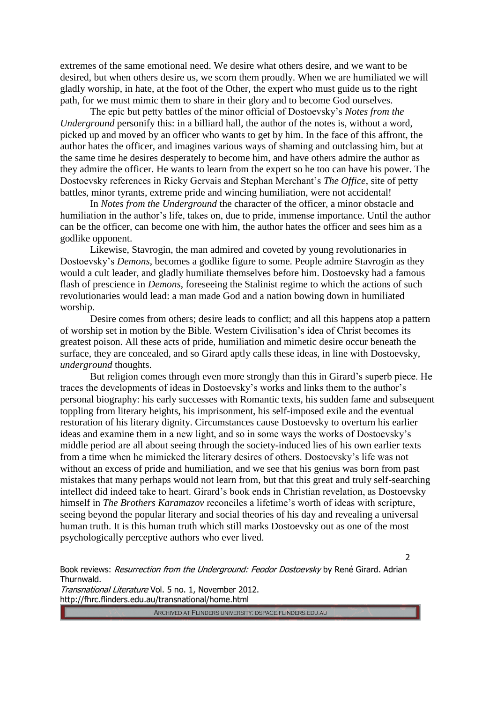extremes of the same emotional need. We desire what others desire, and we want to be desired, but when others desire us, we scorn them proudly. When we are humiliated we will gladly worship, in hate, at the foot of the Other, the expert who must guide us to the right path, for we must mimic them to share in their glory and to become God ourselves.

The epic but petty battles of the minor official of Dostoevsky's *Notes from the Underground* personify this: in a billiard hall, the author of the notes is, without a word, picked up and moved by an officer who wants to get by him. In the face of this affront, the author hates the officer, and imagines various ways of shaming and outclassing him, but at the same time he desires desperately to become him, and have others admire the author as they admire the officer. He wants to learn from the expert so he too can have his power. The Dostoevsky references in Ricky Gervais and Stephan Merchant's *The Office*, site of petty battles, minor tyrants, extreme pride and wincing humiliation, were not accidental!

In *Notes from the Underground* the character of the officer, a minor obstacle and humiliation in the author's life, takes on, due to pride, immense importance. Until the author can be the officer, can become one with him, the author hates the officer and sees him as a godlike opponent.

Likewise, Stavrogin, the man admired and coveted by young revolutionaries in Dostoevsky's *Demons*, becomes a godlike figure to some. People admire Stavrogin as they would a cult leader, and gladly humiliate themselves before him. Dostoevsky had a famous flash of prescience in *Demons*, foreseeing the Stalinist regime to which the actions of such revolutionaries would lead: a man made God and a nation bowing down in humiliated worship.

Desire comes from others; desire leads to conflict; and all this happens atop a pattern of worship set in motion by the Bible. Western Civilisation's idea of Christ becomes its greatest poison. All these acts of pride, humiliation and mimetic desire occur beneath the surface, they are concealed, and so Girard aptly calls these ideas, in line with Dostoevsky, *underground* thoughts.

But religion comes through even more strongly than this in Girard's superb piece. He traces the developments of ideas in Dostoevsky's works and links them to the author's personal biography: his early successes with Romantic texts, his sudden fame and subsequent toppling from literary heights, his imprisonment, his self-imposed exile and the eventual restoration of his literary dignity. Circumstances cause Dostoevsky to overturn his earlier ideas and examine them in a new light, and so in some ways the works of Dostoevsky's middle period are all about seeing through the society-induced lies of his own earlier texts from a time when he mimicked the literary desires of others. Dostoevsky's life was not without an excess of pride and humiliation, and we see that his genius was born from past mistakes that many perhaps would not learn from, but that this great and truly self-searching intellect did indeed take to heart. Girard's book ends in Christian revelation, as Dostoevsky himself in *The Brothers Karamazov* reconciles a lifetime's worth of ideas with scripture, seeing beyond the popular literary and social theories of his day and revealing a universal human truth. It is this human truth which still marks Dostoevsky out as one of the most psychologically perceptive authors who ever lived.

 $\mathcal{L}$ 

Book reviews: Resurrection from the Underground: Feodor Dostoevsky by René Girard. Adrian Thurnwald.

Transnational Literature Vol. 5 no. 1, November 2012. http://fhrc.flinders.edu.au/transnational/home.html

ARCHIVED AT FLINDERS UNIVERSITY: DSPACE.FLINDERS.EDU.AU